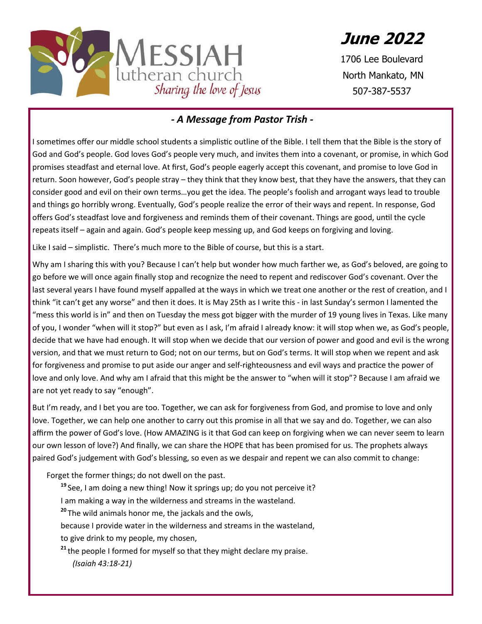

**June 2022**

1706 Lee Boulevard North Mankato, MN 507-387-5537

#### *- A Message from Pastor Trish -*

I sometimes offer our middle school students a simplistic outline of the Bible. I tell them that the Bible is the story of God and God's people. God loves God's people very much, and invites them into a covenant, or promise, in which God promises steadfast and eternal love. At first, God's people eagerly accept this covenant, and promise to love God in return. Soon however, God's people stray – they think that they know best, that they have the answers, that they can consider good and evil on their own terms…you get the idea. The people's foolish and arrogant ways lead to trouble and things go horribly wrong. Eventually, God's people realize the error of their ways and repent. In response, God offers God's steadfast love and forgiveness and reminds them of their covenant. Things are good, until the cycle repeats itself – again and again. God's people keep messing up, and God keeps on forgiving and loving.

Like I said – simplistic. There's much more to the Bible of course, but this is a start.

Why am I sharing this with you? Because I can't help but wonder how much farther we, as God's beloved, are going to go before we will once again finally stop and recognize the need to repent and rediscover God's covenant. Over the last several years I have found myself appalled at the ways in which we treat one another or the rest of creation, and I think "it can't get any worse" and then it does. It is May 25th as I write this - in last Sunday's sermon I lamented the "mess this world is in" and then on Tuesday the mess got bigger with the murder of 19 young lives in Texas. Like many of you, I wonder "when will it stop?" but even as I ask, I'm afraid I already know: it will stop when we, as God's people, decide that we have had enough. It will stop when we decide that our version of power and good and evil is the wrong version, and that we must return to God; not on our terms, but on God's terms. It will stop when we repent and ask for forgiveness and promise to put aside our anger and self-righteousness and evil ways and practice the power of love and only love. And why am I afraid that this might be the answer to "when will it stop"? Because I am afraid we are not yet ready to say "enough".

But I'm ready, and I bet you are too. Together, we can ask for forgiveness from God, and promise to love and only love. Together, we can help one another to carry out this promise in all that we say and do. Together, we can also affirm the power of God's love. (How AMAZING is it that God can keep on forgiving when we can never seem to learn our own lesson of love?) And finally, we can share the HOPE that has been promised for us. The prophets always paired God's judgement with God's blessing, so even as we despair and repent we can also commit to change:

Forget the former things; do not dwell on the past.

**<sup>19</sup>** See, I am doing a new thing! Now it springs up; do you not perceive it?

I am making a way in the wilderness and streams in the wasteland.

**<sup>20</sup>** The wild animals honor me, the jackals and the owls,

because I provide water in the wilderness and streams in the wasteland,

to give drink to my people, my chosen,

<sup>21</sup> the people I formed for myself so that they might declare my praise. *(Isaiah 43:18-21)*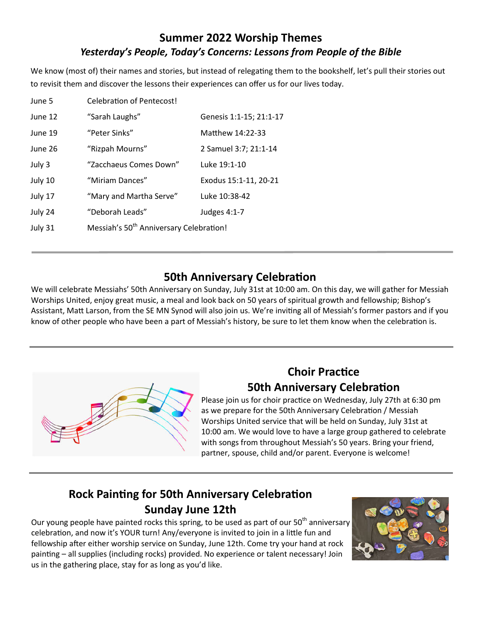#### **Summer 2022 Worship Themes** *Yesterday's People, Today's Concerns: Lessons from People of the Bible*

We know (most of) their names and stories, but instead of relegating them to the bookshelf, let's pull their stories out to revisit them and discover the lessons their experiences can offer us for our lives today.

| June 5  | <b>Celebration of Pentecost!</b>                    |                         |
|---------|-----------------------------------------------------|-------------------------|
| June 12 | "Sarah Laughs"                                      | Genesis 1:1-15; 21:1-17 |
| June 19 | "Peter Sinks"                                       | Matthew 14:22-33        |
| June 26 | "Rizpah Mourns"                                     | 2 Samuel 3:7; 21:1-14   |
| July 3  | "Zacchaeus Comes Down"                              | Luke 19:1-10            |
| July 10 | "Miriam Dances"                                     | Exodus 15:1-11, 20-21   |
| July 17 | "Mary and Martha Serve"                             | Luke 10:38-42           |
| July 24 | "Deborah Leads"                                     | Judges 4:1-7            |
| July 31 | Messiah's 50 <sup>th</sup> Anniversary Celebration! |                         |
|         |                                                     |                         |

#### **50th Anniversary Celebration**

We will celebrate Messiahs' 50th Anniversary on Sunday, July 31st at 10:00 am. On this day, we will gather for Messiah Worships United, enjoy great music, a meal and look back on 50 years of spiritual growth and fellowship; Bishop's Assistant, Matt Larson, from the SE MN Synod will also join us. We're inviting all of Messiah's former pastors and if you know of other people who have been a part of Messiah's history, be sure to let them know when the celebration is.



#### **Choir Practice 50th Anniversary Celebration**

Please join us for choir practice on Wednesday, July 27th at 6:30 pm as we prepare for the 50th Anniversary Celebration / Messiah Worships United service that will be held on Sunday, July 31st at 10:00 am. We would love to have a large group gathered to celebrate with songs from throughout Messiah's 50 years. Bring your friend, partner, spouse, child and/or parent. Everyone is welcome!

# **Rock Painting for 50th Anniversary Celebration Sunday June 12th**

Our young people have painted rocks this spring, to be used as part of our 50<sup>th</sup> anniversary celebration, and now it's YOUR turn! Any/everyone is invited to join in a little fun and fellowship after either worship service on Sunday, June 12th. Come try your hand at rock painting - all supplies (including rocks) provided. No experience or talent necessary! Join us in the gathering place, stay for as long as you'd like.

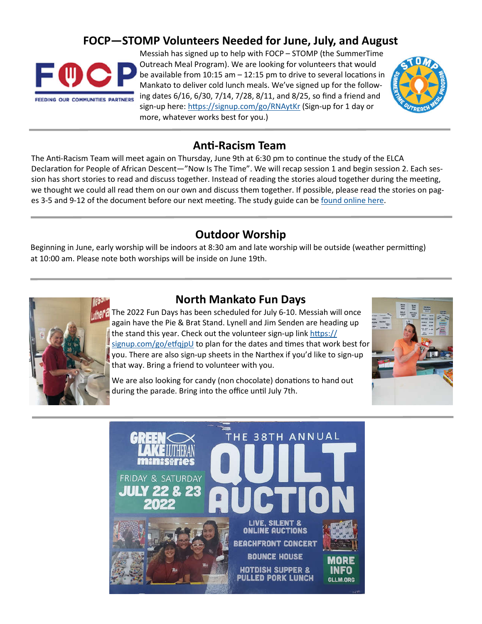#### **FOCP—STOMP Volunteers Needed for June, July, and August**



Messiah has signed up to help with FOCP – STOMP (the SummerTime Outreach Meal Program). We are looking for volunteers that would be available from  $10:15$  am  $-12:15$  pm to drive to several locations in Mankato to deliver cold lunch meals. We've signed up for the following dates 6/16, 6/30, 7/14, 7/28, 8/11, and 8/25, so find a friend and sign-up here: https://signup.com/go/RNAytKr (Sign-up for 1 day or more, whatever works best for you.)



#### **Anti-Racism Team**

The Anti-Racism Team will meet again on Thursday, June 9th at 6:30 pm to continue the study of the ELCA Declaration for People of African Descent—"Now Is The Time". We will recap session 1 and begin session 2. Each session has short stories to read and discuss together. Instead of reading the stories aloud together during the meeting, we thought we could all read them on our own and discuss them together. If possible, please read the stories on pages 3-5 and 9-12 of the document before our next meeting. The study guide can be found online here.

#### **Outdoor Worship**

Beginning in June, early worship will be indoors at 8:30 am and late worship will be outside (weather permitting) at 10:00 am. Please note both worships will be inside on June 19th.



#### **North Mankato Fun Days**

The 2022 Fun Days has been scheduled for July 6-10. Messiah will once again have the Pie & Brat Stand. Lynell and Jim Senden are heading up the stand this year. Check out the volunteer sign-up link https://  $signup.com/go/effqipU$  to plan for the dates and times that work best for you. There are also sign-up sheets in the Narthex if you'd like to sign-up that way. Bring a friend to volunteer with you.



We are also looking for candy (non chocolate) donations to hand out during the parade. Bring into the office until July 7th.

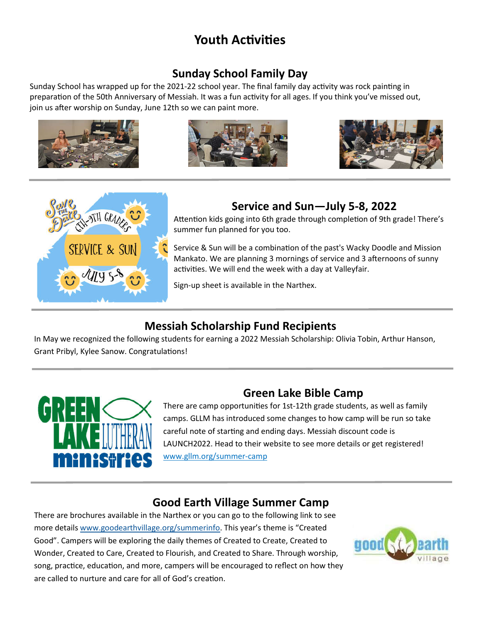# **Youth Activities**

## **Sunday School Family Day**

Sunday School has wrapped up for the 2021-22 school year. The final family day activity was rock painting in preparation of the 50th Anniversary of Messiah. It was a fun activity for all ages. If you think you've missed out, join us after worship on Sunday, June 12th so we can paint more.









#### **Service and Sun—July 5-8, 2022**

Attention kids going into 6th grade through completion of 9th grade! There's summer fun planned for you too.

Service & Sun will be a combination of the past's Wacky Doodle and Mission Mankato. We are planning 3 mornings of service and 3 afternoons of sunny activities. We will end the week with a day at Valleyfair.

Sign-up sheet is available in the Narthex.

# **Messiah Scholarship Fund Recipients**

In May we recognized the following students for earning a 2022 Messiah Scholarship: Olivia Tobin, Arthur Hanson, Grant Pribyl, Kylee Sanow. Congratulations!



## **Green Lake Bible Camp**

There are camp opportunities for 1st-12th grade students, as well as family camps. GLLM has introduced some changes to how camp will be run so take careful note of starting and ending days. Messiah discount code is LAUNCH2022. Head to their website to see more details or get registered! www.gllm.org/summer-camp

## **Good Earth Village Summer Camp**

There are brochures available in the Narthex or you can go to the following link to see more details www.goodearthvillage.org/summerinfo. This year's theme is "Created Good". Campers will be exploring the daily themes of Created to Create, Created to Wonder, Created to Care, Created to Flourish, and Created to Share. Through worship, song, practice, education, and more, campers will be encouraged to reflect on how they are called to nurture and care for all of God's creation.

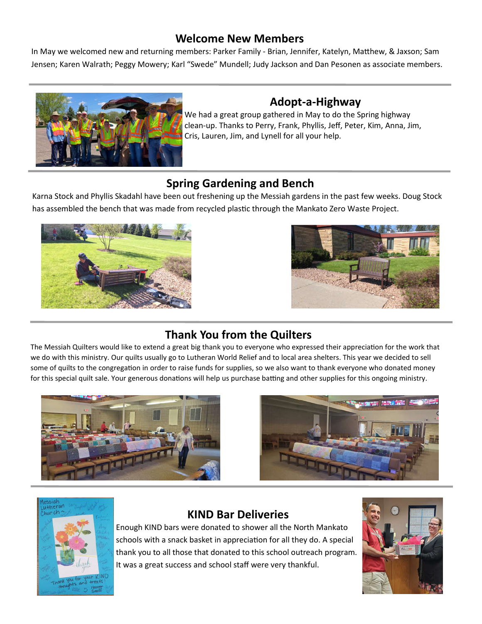#### **Welcome New Members**

In May we welcomed new and returning members: Parker Family - Brian, Jennifer, Katelyn, Matthew, & Jaxson; Sam Jensen; Karen Walrath; Peggy Mowery; Karl "Swede" Mundell; Judy Jackson and Dan Pesonen as associate members.



#### **Adopt-a-Highway**

We had a great group gathered in May to do the Spring highway clean-up. Thanks to Perry, Frank, Phyllis, Jeff, Peter, Kim, Anna, Jim, Cris, Lauren, Jim, and Lynell for all your help.

#### **Spring Gardening and Bench**

Karna Stock and Phyllis Skadahl have been out freshening up the Messiah gardens in the past few weeks. Doug Stock has assembled the bench that was made from recycled plastic through the Mankato Zero Waste Project.





## **Thank You from the Quilters**

The Messiah Quilters would like to extend a great big thank you to everyone who expressed their appreciation for the work that we do with this ministry. Our quilts usually go to Lutheran World Relief and to local area shelters. This year we decided to sell some of quilts to the congregation in order to raise funds for supplies, so we also want to thank everyone who donated money for this special quilt sale. Your generous donations will help us purchase batting and other supplies for this ongoing ministry.







#### **KIND Bar Deliveries**

Enough KIND bars were donated to shower all the North Mankato schools with a snack basket in appreciation for all they do. A special thank you to all those that donated to this school outreach program. It was a great success and school staff were very thankful.

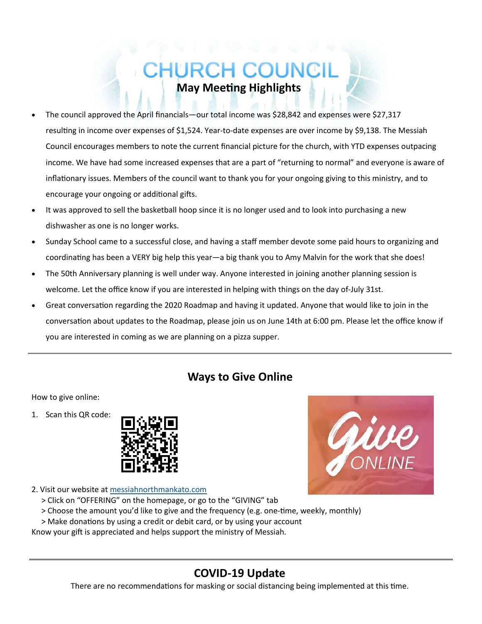# CHURCH COUI **May Meeting Highlights**

- The council approved the April financials—our total income was \$28,842 and expenses were \$27,317 resulting in income over expenses of \$1,524. Year-to-date expenses are over income by \$9,138. The Messiah Council encourages members to note the current financial picture for the church, with YTD expenses outpacing income. We have had some increased expenses that are a part of "returning to normal" and everyone is aware of inflationary issues. Members of the council want to thank you for your ongoing giving to this ministry, and to encourage your ongoing or additional gifts.
- It was approved to sell the basketball hoop since it is no longer used and to look into purchasing a new dishwasher as one is no longer works.
- Sunday School came to a successful close, and having a staff member devote some paid hours to organizing and coordinating has been a VERY big help this year—a big thank you to Amy Malvin for the work that she does!
- The 50th Anniversary planning is well under way. Anyone interested in joining another planning session is welcome. Let the office know if you are interested in helping with things on the day of-July 31st.
- Great conversation regarding the 2020 Roadmap and having it updated. Anyone that would like to join in the conversation about updates to the Roadmap, please join us on June 14th at 6:00 pm. Please let the office know if you are interested in coming as we are planning on a pizza supper.

#### **Ways to Give Online**

#### How to give online:

1. Scan this QR code:





- > Click on "OFFERING" on the homepage, or go to the "GIVING" tab
- > Choose the amount you'd like to give and the frequency (e.g. one-time, weekly, monthly)
- > Make donations by using a credit or debit card, or by using your account

Know your gift is appreciated and helps support the ministry of Messiah.

## **COVID-19 Update**

There are no recommendations for masking or social distancing being implemented at this time.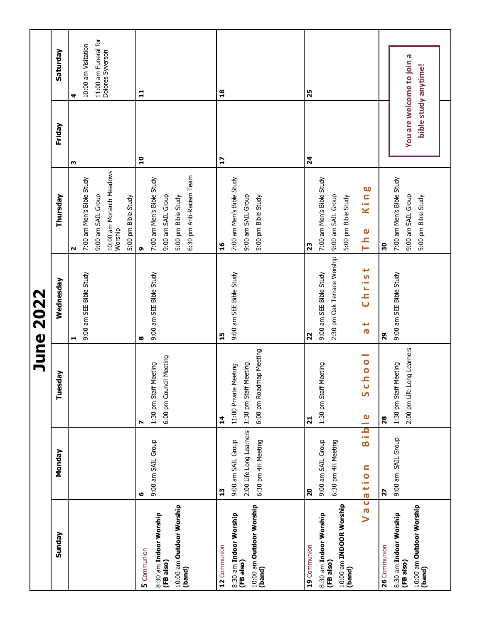|                                                                                           |                                                                                      |                                                                                                           | <b>June 2022</b>                                                                        |                                                                                                                    |                                                   |                                                                      |
|-------------------------------------------------------------------------------------------|--------------------------------------------------------------------------------------|-----------------------------------------------------------------------------------------------------------|-----------------------------------------------------------------------------------------|--------------------------------------------------------------------------------------------------------------------|---------------------------------------------------|----------------------------------------------------------------------|
| Sunday                                                                                    | Monday                                                                               | Tuesday                                                                                                   | Wednesday                                                                               | Thursday                                                                                                           | Friday                                            | Saturday                                                             |
|                                                                                           |                                                                                      |                                                                                                           | 9:00 am SEE Bible Study<br>H                                                            | 10:00 am Monarch Meadows<br>Worship<br>7:00 am Men's Bible Study<br>9:00 am SAIL Group<br>5:00 pm Bible Study<br>N | ω                                                 | 11:00 am Funeral for<br>Dolores Syverson<br>10:00 am Visitation<br>4 |
| 10:00 am Outdoor Worship<br>(band)<br>8:30 am Indoor Worship<br>5 Communion<br>(FB also)  | 9:00 am SAIL Group<br>ဖ                                                              | 6:00 pm Council Meeting<br>Meeting<br>1:30 pm Staff<br>N                                                  | 9:00 am SEE Bible Study<br>œ                                                            | 6:30 pm Anti-Racism Team<br>7:00 am Men's Bible Study<br>9:00 am SAIL Group<br>5:00 pm Bible Study<br>G            | $\mathbf{a}$                                      | 부                                                                    |
| 10:00 am Outdoor Worship<br>8:30 am Indoor Worship<br>(FB also)<br>12 Communion<br>(band) | 2:00 Life Long Learners<br>9:00 am SAIL Group<br>6:30 pm 4H Meeting<br>$\mathbf{13}$ | 6:00 pm Roadmap Meeting<br>Meeting<br>11:00 Private Meeting<br>1:30 pm Staff<br>$\mathbf{1}^{\mathbf{4}}$ | 9:00 am SEE Bible Study<br>15                                                           | 7:00 am Men's Bible Study<br>9:00 am SAIL Group<br>5:00 pm Bible Study<br>$\frac{6}{1}$                            | $\mathbf{L}$                                      | $\overline{18}$                                                      |
| 10:00 am INDOOR Worship<br>8:30 am Indoor Worship<br>19 Communion<br>(FB also)<br>(band)  | Bible<br>9:00 am SAIL Group<br>6:30 pm 4H Meeting<br>Vacation<br>$\overline{20}$     | lo o l<br>Meeting<br>ပ<br>လ<br>1:30 pm Staff<br>$\overline{21}$                                           | 2:30 pm Oak Terrace Worship<br>Christ<br>9:00 am SEE Bible Study<br>$\frac{1}{6}$<br>22 | 7:00 am Men's Bible Study<br>King<br>9:00 am SAIL Group<br>5:00 pm Bible Study<br>The<br>23                        | $\mathbf{z}$                                      | 25                                                                   |
| 10:00 am Outdoor Worship<br>8:30 am Indoor Worship<br>(FB also)<br>26 Communion<br>(band) | 9:00 am SAIL Group<br>$\overline{\mathbf{z}}$                                        | 2:00 pm Life Long Learners<br>Meeting<br>1:30 pm Staff<br>28                                              | 9:00 am SEE Bible Study<br>82                                                           | 7:00 am Men's Bible Study<br>9:00 am SAIL Group<br>5:00 pm Bible Study<br>30                                       | You are welcome to join a<br>bible study anytime! |                                                                      |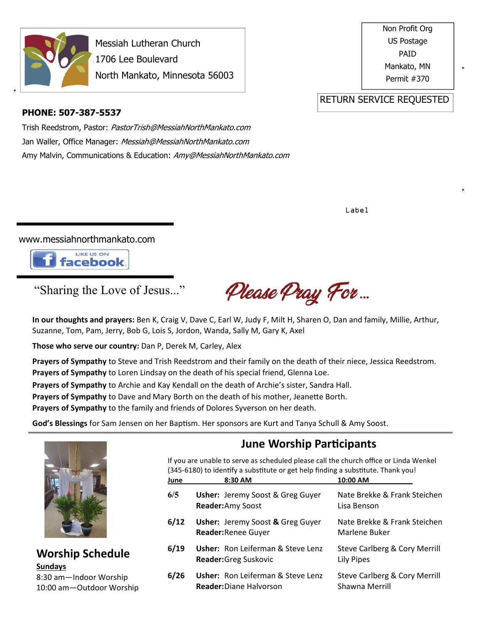

\*

Messiah Lutheran Church 1706 Lee Boulevard North Mankato, Minnesota 56003 Non Profit Org US Postage PAID Mankato, MN Permit #370

\*

\*

RETURN SERVICE REQUESTED

#### **PHONE: 507-387-5537**

Trish Reedstrom, Pastor: PastorTrish@MessiahNorthMankato.com Jan Waller, Office Manager: Messiah@MessiahNorthMankato.com Amy Malvin, Communications & Education: Amy@MessiahNorthMankato.com

Label

www.messiahnorthmankato.com



#### "Sharing the Love of Jesus..."

Please Pray For...

**In our thoughts and prayers:** Ben K, Craig V, Dave C, Earl W, Judy F, Milt H, Sharen O, Dan and family, Millie, Arthur, Suzanne, Tom, Pam, Jerry, Bob G, Lois S, Jordon, Wanda, Sally M, Gary K, Axel

**Those who serve our country:** Dan P, Derek M, Carley, Alex

**Prayers of Sympathy** to Steve and Trish Reedstrom and their family on the death of their niece, Jessica Reedstrom. **Prayers of Sympathy** to Loren Lindsay on the death of his special friend, Glenna Loe.

**Prayers of Sympathy** to Archie and Kay Kendall on the death of Archie's sister, Sandra Hall.

**Prayers of Sympathy** to Dave and Mary Borth on the death of his mother, Jeanette Borth.

**Prayers of Sympathy** to the family and friends of Dolores Syverson on her death.

God's Blessings for Sam Jensen on her Baptism. Her sponsors are Kurt and Tanya Schull & Amy Soost.



#### **Worship Schedule Sundays**

8:30 am—Indoor Worship 10:00 am—Outdoor Worship

#### **June Worship Participants**

If you are unable to serve as scheduled please call the church office or Linda Wenkel  $(345-6180)$  to identify a substitute or get help finding a substitute. Thank you!

| June | 8:30 AM                                                                    | 10:00 AM                                        |
|------|----------------------------------------------------------------------------|-------------------------------------------------|
| 6/5  | <b>Usher:</b> Jeremy Soost & Greg Guyer<br>Reader: Amy Soost               | Nate Brekke & Frank Steichen<br>Lisa Benson     |
| 6/12 | <b>Usher:</b> Jeremy Soost & Greg Guyer<br>Reader: Renee Guyer             | Nate Brekke & Frank Steichen<br>Marlene Buker   |
| 6/19 | <b>Usher:</b> Ron Leiferman & Steve Lenz<br><b>Reader:</b> Greg Suskovic   | Steve Carlberg & Cory Merrill<br>Lily Pipes     |
| 6/26 | <b>Usher:</b> Ron Leiferman & Steve Lenz<br><b>Reader:</b> Diane Halvorson | Steve Carlberg & Cory Merrill<br>Shawna Merrill |
|      |                                                                            |                                                 |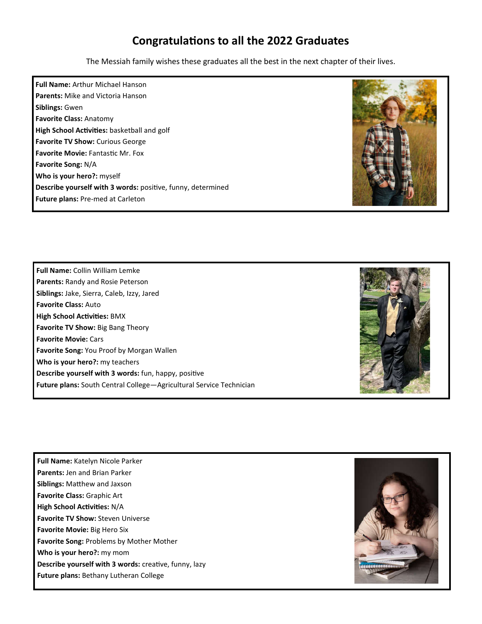#### **Congratulations to all the 2022 Graduates**

The Messiah family wishes these graduates all the best in the next chapter of their lives.

**Full Name:** Arthur Michael Hanson **Parents:** Mike and Victoria Hanson **Siblings:** Gwen **Favorite Class:** Anatomy **High School Activities: basketball and golf Favorite TV Show:** Curious George **Favorite Movie: Fantastic Mr. Fox Favorite Song:** N/A **Who is your hero?:** myself Describe yourself with 3 words: positive, funny, determined **Future plans:** Pre-med at Carleton



**Full Name:** Collin William Lemke **Parents:** Randy and Rosie Peterson **Siblings:** Jake, Sierra, Caleb, Izzy, Jared **Favorite Class:** Auto **High School Activities: BMX Favorite TV Show:** Big Bang Theory **Favorite Movie:** Cars **Favorite Song:** You Proof by Morgan Wallen **Who is your hero?:** my teachers **Describe yourself with 3 words:** fun, happy, positive **Future plans:** South Central College—Agricultural Service Technician



**Full Name:** Katelyn Nicole Parker **Parents:** Jen and Brian Parker **Siblings: Matthew and Jaxson Favorite Class:** Graphic Art **High School Activities: N/A Favorite TV Show: Steven Universe Favorite Movie:** Big Hero Six **Favorite Song:** Problems by Mother Mother **Who is your hero?:** my mom **Describe yourself with 3 words: creative, funny, lazy Future plans:** Bethany Lutheran College